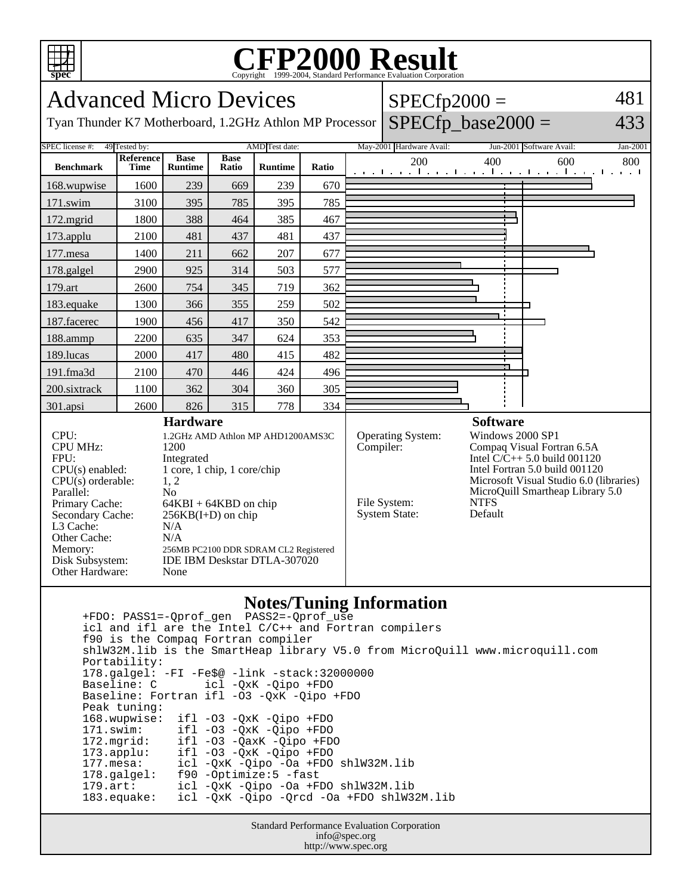

## Copyright ©1999-2004, Standard Performance Evaluation Corporation

| <b>Advanced Micro Devices</b>                                                                                                                                                                                 |                   |                                                                                       |                                                                                                                                                                                              |                |       |  | $SPECfp2000 =$                                                         |                                                                                                                                                                                                                                                |                                                        |          |
|---------------------------------------------------------------------------------------------------------------------------------------------------------------------------------------------------------------|-------------------|---------------------------------------------------------------------------------------|----------------------------------------------------------------------------------------------------------------------------------------------------------------------------------------------|----------------|-------|--|------------------------------------------------------------------------|------------------------------------------------------------------------------------------------------------------------------------------------------------------------------------------------------------------------------------------------|--------------------------------------------------------|----------|
| $SPECfp\_base2000 =$<br>433<br>Tyan Thunder K7 Motherboard, 1.2GHz Athlon MP Processor                                                                                                                        |                   |                                                                                       |                                                                                                                                                                                              |                |       |  |                                                                        |                                                                                                                                                                                                                                                |                                                        |          |
| SPEC license #:<br>49 Tested by:<br>AMD Test date:                                                                                                                                                            |                   |                                                                                       |                                                                                                                                                                                              |                |       |  | May-2001 Hardware Avail:                                               |                                                                                                                                                                                                                                                | Jun-2001 Software Avail:                               | Jan-2001 |
| <b>Benchmark</b>                                                                                                                                                                                              | Reference<br>Time | <b>Base</b><br><b>Runtime</b>                                                         | <b>Base</b><br>Ratio                                                                                                                                                                         | <b>Runtime</b> | Ratio |  | 200                                                                    | 400                                                                                                                                                                                                                                            | 600<br>المتوجا وتوجا وتوجا وتوجا وتوجا وتوجا وتوجا وتو | 800      |
| 168.wupwise                                                                                                                                                                                                   | 1600              | 239                                                                                   | 669                                                                                                                                                                                          | 239            | 670   |  |                                                                        |                                                                                                                                                                                                                                                |                                                        |          |
| 171.swim                                                                                                                                                                                                      | 3100              | 395                                                                                   | 785                                                                                                                                                                                          | 395            | 785   |  |                                                                        |                                                                                                                                                                                                                                                |                                                        |          |
| 172.mgrid                                                                                                                                                                                                     | 1800              | 388                                                                                   | 464                                                                                                                                                                                          | 385            | 467   |  |                                                                        |                                                                                                                                                                                                                                                |                                                        |          |
| 173.applu                                                                                                                                                                                                     | 2100              | 481                                                                                   | 437                                                                                                                                                                                          | 481            | 437   |  |                                                                        |                                                                                                                                                                                                                                                |                                                        |          |
| 177.mesa                                                                                                                                                                                                      | 1400              | 211                                                                                   | 662                                                                                                                                                                                          | 207            | 677   |  |                                                                        |                                                                                                                                                                                                                                                |                                                        |          |
| 178.galgel                                                                                                                                                                                                    | 2900              | 925                                                                                   | 314                                                                                                                                                                                          | 503            | 577   |  |                                                                        |                                                                                                                                                                                                                                                |                                                        |          |
| 179.art                                                                                                                                                                                                       | 2600              | 754                                                                                   | 345                                                                                                                                                                                          | 719            | 362   |  |                                                                        |                                                                                                                                                                                                                                                |                                                        |          |
| 183.equake                                                                                                                                                                                                    | 1300              | 366                                                                                   | 355                                                                                                                                                                                          | 259            | 502   |  |                                                                        |                                                                                                                                                                                                                                                |                                                        |          |
| 187.facerec                                                                                                                                                                                                   | 1900              | 456                                                                                   | 417                                                                                                                                                                                          | 350            | 542   |  |                                                                        |                                                                                                                                                                                                                                                |                                                        |          |
| 188.ammp                                                                                                                                                                                                      | 2200              | 635                                                                                   | 347                                                                                                                                                                                          | 624            | 353   |  |                                                                        |                                                                                                                                                                                                                                                |                                                        |          |
| 189.lucas                                                                                                                                                                                                     | 2000              | 417                                                                                   | 480                                                                                                                                                                                          | 415            | 482   |  |                                                                        |                                                                                                                                                                                                                                                |                                                        |          |
| 191.fma3d                                                                                                                                                                                                     | 2100              | 470                                                                                   | 446                                                                                                                                                                                          | 424            | 496   |  |                                                                        |                                                                                                                                                                                                                                                |                                                        |          |
| 200.sixtrack                                                                                                                                                                                                  | 1100              | 362                                                                                   | 304                                                                                                                                                                                          | 360            | 305   |  |                                                                        |                                                                                                                                                                                                                                                |                                                        |          |
| 301.apsi                                                                                                                                                                                                      | 2600              | 826                                                                                   | 315                                                                                                                                                                                          | 778            | 334   |  |                                                                        |                                                                                                                                                                                                                                                |                                                        |          |
| $CPI$ :<br><b>CPU MHz:</b><br>FPU:<br>CPU(s) enabled:<br>$CPU(s)$ orderable:<br>Parallel:<br>Primary Cache:<br>Secondary Cache:<br>L3 Cache:<br>Other Cache:<br>Memory:<br>Disk Subsystem:<br>Other Hardware: |                   | <b>Hardware</b><br>1200<br>Integrated<br>1, 2<br>N <sub>o</sub><br>N/A<br>N/A<br>None | 1.2GHz AMD Athlon MP AHD1200AMS3C<br>1 core, 1 chip, 1 core/chip<br>$64KBI + 64KBD$ on chip<br>$256KB(I+D)$ on chip<br>256MB PC2100 DDR SDRAM CL2 Registered<br>IDE IBM Deskstar DTLA-307020 |                |       |  | Operating System:<br>Compiler:<br>File System:<br><b>System State:</b> | <b>Software</b><br>Windows 2000 SP1<br>Compaq Visual Fortran 6.5A<br>Intel $C/C++$ 5.0 build 001120<br>Intel Fortran 5.0 build 001120<br>Microsoft Visual Studio 6.0 (libraries)<br>MicroQuill Smartheap Library 5.0<br><b>NTFS</b><br>Default |                                                        |          |
| Natog/Tuning Information                                                                                                                                                                                      |                   |                                                                                       |                                                                                                                                                                                              |                |       |  |                                                                        |                                                                                                                                                                                                                                                |                                                        |          |

## **Notes/Tuning Information**

 +FDO: PASS1=-Qprof\_gen PASS2=-Qprof\_use icl and ifl are the Intel C/C++ and Fortran compilers f90 is the Compaq Fortran compiler shlW32M.lib is the SmartHeap library V5.0 from MicroQuill www.microquill.com Portability: 178.galgel: -FI -Fe\$@ -link -stack:32000000 Baseline: C icl -QxK -Qipo +FDO Baseline: Fortran ifl -O3 -QxK -Qipo +FDO Peak tuning: 168.wupwise: ifl -O3 -QxK -Qipo +FDO 171.swim: ifl -O3 -QxK -Qipo +FDO 172.mgrid: ifl -O3 -QaxK -Qipo +FDO 173.applu: ifl -03 -QxK -Qipo +FDO<br>177.mesa: icl -QxK -Qipo -0a +FDO 177.mesa: icl -QxK -Qipo -Oa +FDO shlW32M.lib 178.galgel: f90 -Optimize:5 -fast 179.art: icl -QxK -Qipo -Oa +FDO shlW32M.lib  $icl$  -QxK -Qipo -Qrcd -Oa +FDO shlW32M.lib

Standard Performance Evaluation Corporation info@spec.org http://www.spec.org